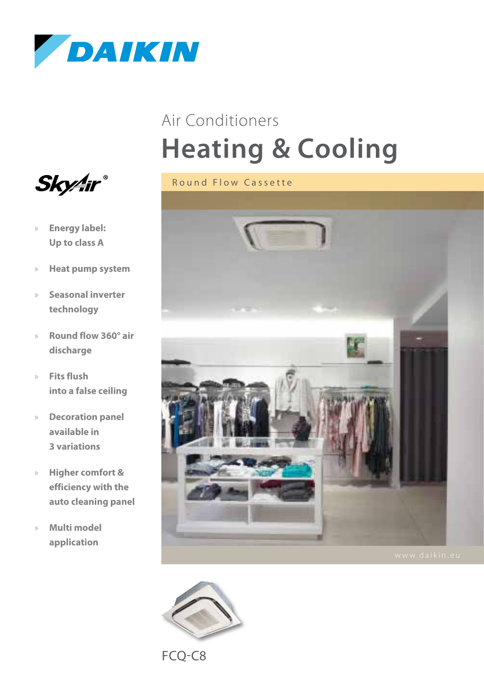

# **Heating & Cooling** Air Conditioners







FCQ-C8



- » **Energy label: Up to class A**
- » **Heat pump system**
- » **Seasonal inverter technology**
- » **Round flow 360° air discharge**
- » **Fits flush into a false ceiling**
- » **Decoration panel available in 3 variations**
- » **Higher comfort & efficiency with the auto cleaning panel**
- » **Multi model application**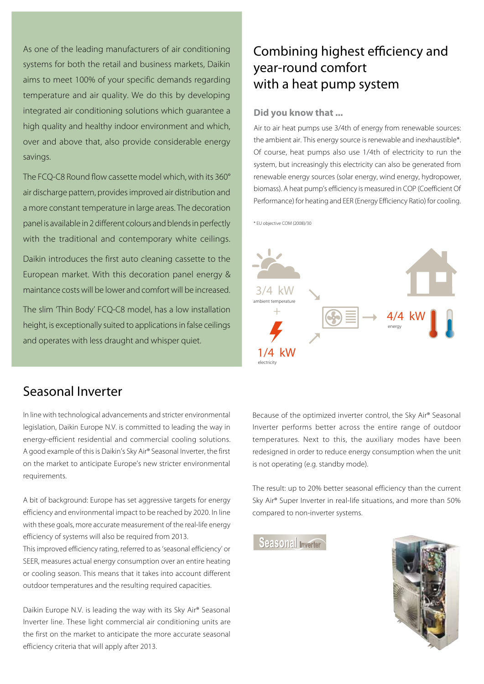As one of the leading manufacturers of air conditioning systems for both the retail and business markets, Daikin aims to meet 100% of your specific demands regarding temperature and air quality. We do this by developing integrated air conditioning solutions which guarantee a high quality and healthy indoor environment and which, over and above that, also provide considerable energy savings.

The FCQ-C8 Round flow cassette model which, with its 360° air discharge pattern, provides improved air distribution and a more constant temperature in large areas. The decoration panel is available in 2 different colours and blends in perfectly with the traditional and contemporary white ceilings.

Daikin introduces the first auto cleaning cassette to the European market. With this decoration panel energy & maintance costs will be lower and comfort will be increased.

The slim 'Thin Body' FCQ-C8 model, has a low installation height, is exceptionally suited to applications in false ceilings and operates with less draught and whisper quiet.

### Seasonal Inverter

In line with technological advancements and stricter environmental legislation, Daikin Europe N.V. is committed to leading the way in energy-efficient residential and commercial cooling solutions. A good example of this is Daikin's Sky Air® Seasonal Inverter, the first on the market to anticipate Europe's new stricter environmental requirements.

A bit of background: Europe has set aggressive targets for energy efficiency and environmental impact to be reached by 2020. In line with these goals, more accurate measurement of the real-life energy efficiency of systems will also be required from 2013.

This improved efficiency rating, referred to as 'seasonal efficiency' or SEER, measures actual energy consumption over an entire heating or cooling season. This means that it takes into account different outdoor temperatures and the resulting required capacities.

Daikin Europe N.V. is leading the way with its Sky Air® Seasonal Inverter line. These light commercial air conditioning units are the first on the market to anticipate the more accurate seasonal efficiency criteria that will apply after 2013.

### Combining highest efficiency and year-round comfort with a heat pump system

#### **Did you know that ...**

Air to air heat pumps use 3/4th of energy from renewable sources: the ambient air. This energy source is renewable and inexhaustible\*. Of course, heat pumps also use 1/4th of electricity to run the system, but increasingly this electricity can also be generated from renewable energy sources (solar energy, wind energy, hydropower, biomass). A heat pump's efficiency is measured in COP (Coefficient Of Performance) for heating and EER (Energy Efficiency Ratio) for cooling.

\* EU objective COM (2008)/30



Because of the optimized inverter control, the Sky Air® Seasonal Inverter performs better across the entire range of outdoor temperatures. Next to this, the auxiliary modes have been redesigned in order to reduce energy consumption when the unit is not operating (e.g. standby mode).

The result: up to 20% better seasonal efficiency than the current Sky Air® Super Inverter in real-life situations, and more than 50% compared to non-inverter systems.

Seasonal Inverter

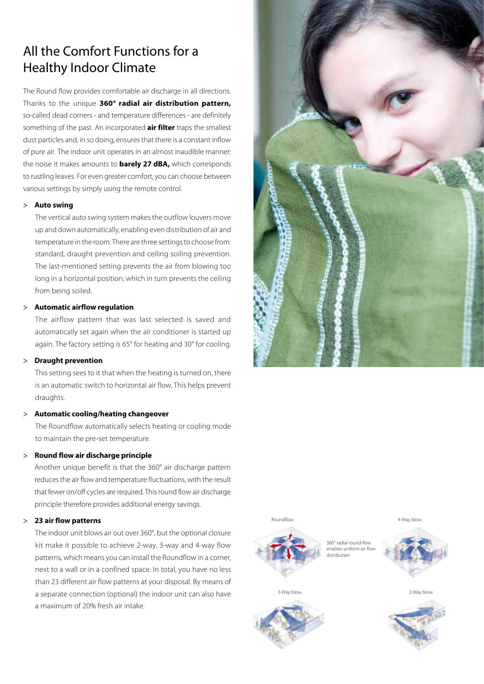### All the Comfort Functions for a Healthy Indoor Climate

The Round flow provides comfortable air discharge in all directions. Thanks to the unique **360° radial air distribution pattern,** so-called dead corners - and temperature differences - are definitely something of the past. An incorporated **air filter** traps the smallest dust particles and, in so doing, ensures that there is a constant inflow of pure air. The indoor unit operates in an almost inaudible manner: the noise it makes amounts to **barely 27 dBA,** which corresponds to rustling leaves. For even greater comfort, you can choose between various settings by simply using the remote control.

#### > **Auto swing**

The vertical auto swing system makes the outflow louvers move up and down automatically, enabling even distribution of air and temperature in the room. There are three settings to choose from: standard, draught prevention and ceiling soiling prevention. The last-mentioned setting prevents the air from blowing too long in a horizontal position, which in turn prevents the ceiling from being soiled.

#### > **Automatic airflow regulation**

The airflow pattern that was last selected is saved and automatically set again when the air conditioner is started up again. The factory setting is 65° for heating and 30° for cooling.

#### > **Draught prevention**

This setting sees to it that when the heating is turned on, there is an automatic switch to horizontal air flow. This helps prevent draughts.

#### > **Automatic cooling/heating changeover**

The Roundflow automatically selects heating or cooling mode to maintain the pre-set temperature.

#### > **Round flow air discharge principle**

Another unique benefit is that the 360° air discharge pattern reduces the air flow and temperature fluctuations, with the result that fewer on/off cycles are required. This round flow air discharge principle therefore provides additional energy savings.

#### > **23 air flow patterns**

The indoor unit blows air out over 360°, but the optional closure kit make it possible to achieve 2-way, 3-way and 4-way flow patterns, which means you can install the Roundflow in a corner, next to a wall or in a confined space. In total, you have no less than 23 different air flow patterns at your disposal. By means of a separate connection (optional) the indoor unit can also have a maximum of 20% fresh air intake.





360° radial round flow enables uniform air flow distribution





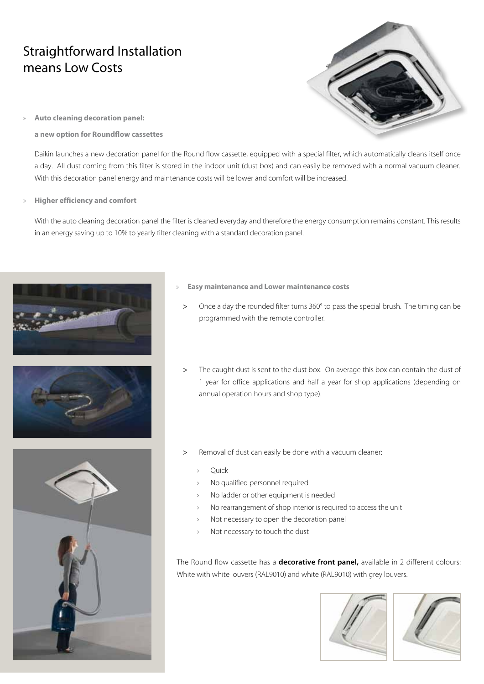### Straightforward Installation means Low Costs

» **Auto cleaning decoration panel:**

#### **a new option for Roundflow cassettes**

Daikin launches a new decoration panel for the Round flow cassette, equipped with a special filter, which automatically cleans itself once a day. All dust coming from this filter is stored in the indoor unit (dust box) and can easily be removed with a normal vacuum cleaner. With this decoration panel energy and maintenance costs will be lower and comfort will be increased.

#### » **Higher efficiency and comfort**

With the auto cleaning decoration panel the filter is cleaned everyday and therefore the energy consumption remains constant. This results in an energy saving up to 10% to yearly filter cleaning with a standard decoration panel.





- » **Easy maintenance and Lower maintenance costs**
	- > Once a day the rounded filter turns 360° to pass the special brush. The timing can be programmed with the remote controller.
- > The caught dust is sent to the dust box. On average this box can contain the dust of 1 year for office applications and half a year for shop applications (depending on annual operation hours and shop type).
- Removal of dust can easily be done with a vacuum cleaner:
	- › Quick
	- No qualified personnel required
	- No ladder or other equipment is needed
	- No rearrangement of shop interior is required to access the unit
	- Not necessary to open the decoration panel
	- Not necessary to touch the dust

The Round flow cassette has a **decorative front panel,** available in 2 different colours: White with white louvers (RAL9010) and white (RAL9010) with grey louvers.



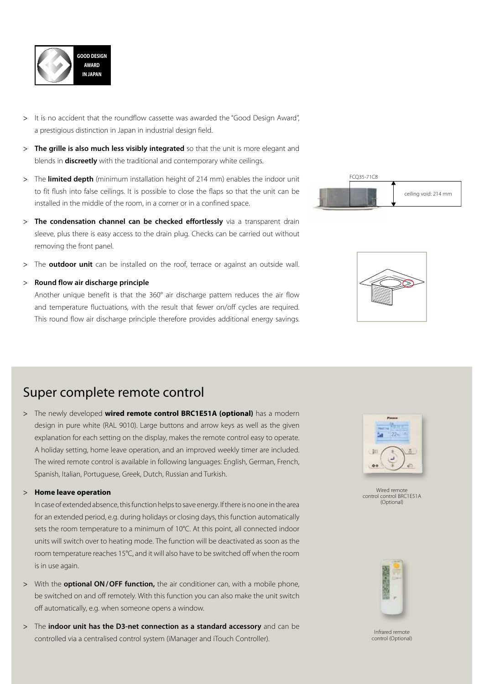

- > It is no accident that the roundflow cassette was awarded the "Good Design Award", a prestigious distinction in Japan in industrial design field.
- > **The grille is also much less visibly integrated** so that the unit is more elegant and blends in **discreetly** with the traditional and contemporary white ceilings.
- > The **limited depth** (minimum installation height of 214 mm) enables the indoor unit to fit flush into false ceilings. It is possible to close the flaps so that the unit can be installed in the middle of the room, in a corner or in a confined space.
- > **The condensation channel can be checked effortlessly** via a transparent drain sleeve, plus there is easy access to the drain plug. Checks can be carried out without removing the front panel.
- > The **outdoor unit** can be installed on the roof, terrace or against an outside wall.

#### > **Round flow air discharge principle**

Another unique benefit is that the 360° air discharge pattern reduces the air flow and temperature fluctuations, with the result that fewer on/off cycles are required. This round flow air discharge principle therefore provides additional energy savings.





### Super complete remote control

> The newly developed **wired remote control BRC1E51A (optional)** has a modern design in pure white (RAL 9010). Large buttons and arrow keys as well as the given explanation for each setting on the display, makes the remote control easy to operate. A holiday setting, home leave operation, and an improved weekly timer are included. The wired remote control is available in following languages: English, German, French, Spanish, Italian, Portuguese, Greek, Dutch, Russian and Turkish.

#### > **Home leave operation**

In case of extended absence, this function helps to save energy. If there is no one in the area for an extended period, e.g. during holidays or closing days, this function automatically sets the room temperature to a minimum of 10°C. At this point, all connected indoor units will switch over to heating mode. The function will be deactivated as soon as the room temperature reaches 15°C, and it will also have to be switched off when the room is in use again.

- > With the **optional ON/OFF function,** the air conditioner can, with a mobile phone, be switched on and off remotely. With this function you can also make the unit switch off automatically, e.g. when someone opens a window.
- > The **indoor unit has the D3-net connection as a standard accessory** and can be controlled via a centralised control system (iManager and iTouch Controller).



Wired remote control control BRC1E51A (Optional)



Infrared remote control (Optional)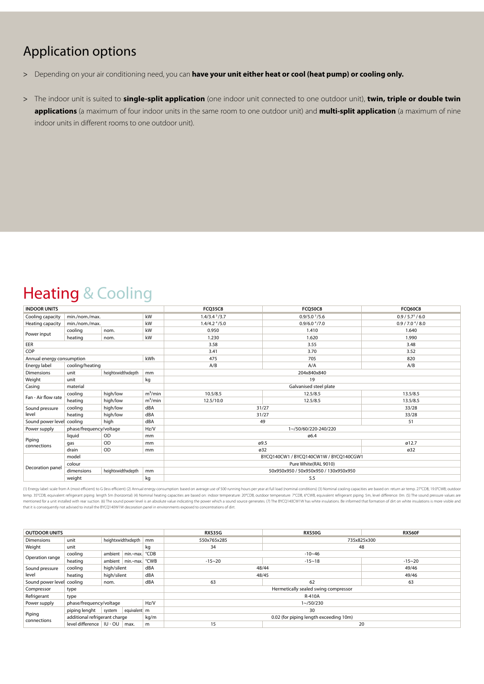### Application options

- > Depending on your air conditioning need, you can **have your unit either heat or cool (heat pump) or cooling only.**
- > The indoor unit is suited to **single-split application** (one indoor unit connected to one outdoor unit), **twin, triple or double twin applications** (a maximum of four indoor units in the same room to one outdoor unit) and **multi-split application** (a maximum of nine indoor units in different rooms to one outdoor unit).

### **Heating & Cooling**

| <b>INDOOR UNITS</b>       |                         |                    |            | <b>FCQ35C8</b>              | <b>FCQ50C8</b>                         | <b>FCQ60C8</b>                |  |  |
|---------------------------|-------------------------|--------------------|------------|-----------------------------|----------------------------------------|-------------------------------|--|--|
| Cooling capacity          | min./nom./max.          |                    | kW         | 1.4/3.4 <sup>3</sup> /3.7   | 0.9/5.0 <sup>3</sup> /5.6              | 0.9 / 5.7 <sup>3</sup> / 6.0  |  |  |
| Heating capacity          | min./nom./max.          |                    | kW         | $1.4/4.2$ <sup>4</sup> /5.0 | $0.9/6.0$ <sup>4</sup> /7.0            | $0.9 / 7.0$ <sup>4</sup> /8.0 |  |  |
|                           | cooling<br>nom.         |                    | kW         | 0.950                       | 1.410                                  | 1.640                         |  |  |
| Power input               | heating                 | nom.               | kW         | 1.230                       | 1.620                                  | 1.990                         |  |  |
| EER                       |                         |                    |            | 3.58                        | 3.55                                   | 3.48                          |  |  |
| COP                       |                         |                    |            | 3.41                        | 3.70                                   | 3.52                          |  |  |
| Annual energy consumption |                         |                    | kWh        | 475                         | 705                                    | 820                           |  |  |
| Energy label              | cooling/heating         |                    |            | A/B                         | A/A                                    | A/B                           |  |  |
| <b>Dimensions</b>         | unit                    | heightxwidthxdepth | mm         |                             | 204x840x840                            |                               |  |  |
| Weight                    | unit                    |                    | kg         |                             | 19                                     |                               |  |  |
| Casing                    | material                |                    |            | Galvanised steel plate      |                                        |                               |  |  |
| Fan - Air flow rate       | cooling                 | high/low           | $m^3/m$ in | 10.5/8.5                    | 12.5/8.5                               | 13.5/8.5                      |  |  |
|                           | heating                 | high/low           | $m^3/m$ in | 12.5/10.0                   | 12.5/8.5                               | 13.5/8.5                      |  |  |
| Sound pressure            | cooling                 | high/low           | dBA        | 31/27                       |                                        | 33/28                         |  |  |
| level                     | heating                 | high/low           | dBA        | 31/27                       |                                        | 33/28                         |  |  |
| Sound power level cooling |                         | high               | dBA        | 49                          |                                        | 51                            |  |  |
| Power supply              | phase/frequency/voltage |                    | Hz/V       |                             | 1~/50/60/220-240/220                   |                               |  |  |
|                           | liquid                  | <b>OD</b>          | mm         |                             | ø6.4                                   |                               |  |  |
| Piping<br>connections     | gas                     | OD                 | mm         | 09.5                        |                                        | 012.7                         |  |  |
|                           | drain                   | OD                 | mm         | ø32                         |                                        | ø32                           |  |  |
|                           | model                   |                    |            |                             | BYCQ140CW1 / BYCQ140CW1W / BYCQ140CGW1 |                               |  |  |
|                           | colour                  |                    |            |                             | Pure White(RAL 9010)                   |                               |  |  |
| Decoration panel          | dimensions              | heightxwidthxdepth | mm         |                             | 50x950x950 / 50x950x950 / 130x950x950  |                               |  |  |
|                           | weight                  |                    | kg         |                             | 5.5                                    |                               |  |  |

(1) Energy label: scale from A (most efficient) to G (less efficient) (2) Annual energy consumption: based on average use of 500 running hours per year at full load (nominal conditions) (3) Nominal cooling capacities are b the automation of the computation of the computational manufacture of the computation of the computation of the computation of the computation of the computation of the computation of the computation of the computation of mentioned for a unit installed with rear suction. (6) The sound power level is an absolute value indicating the power which a sound source generates. (7) The BYCQ140CW1W has white insulations. Be informed that formation of that it is consequently not advised to install the BYCQ140W1W decoration panel in environments exposed to concentrations of dirt.

| <b>OUTDOOR UNITS</b>      |                               |                        |                            |      | <b>RXS35G</b>                          | <b>RXS50G</b>                        | RXS60F     |  |  |  |
|---------------------------|-------------------------------|------------------------|----------------------------|------|----------------------------------------|--------------------------------------|------------|--|--|--|
| <b>Dimensions</b>         | unit                          |                        | heightxwidthxdepth         | mm   | 550x765x285                            | 735x825x300                          |            |  |  |  |
| Weight                    | unit                          |                        |                            | kg   | 34                                     | 48                                   |            |  |  |  |
|                           | cooling                       |                        | ambient   min.~max. CDB    |      |                                        | $-10 - 46$                           |            |  |  |  |
| Operation range           | heating                       |                        | $ambient   min. \sim max.$ | °CWB | $-15 - 20$                             | $-15 - 18$                           | $-15 - 20$ |  |  |  |
| Sound pressure            | cooling                       | high/silent            |                            | dBA  |                                        | 48/44                                | 49/46      |  |  |  |
| level                     | heating                       | high/silent            |                            | dBA  |                                        | 48/45                                | 49/46      |  |  |  |
| Sound power level cooling |                               | nom.                   |                            | dBA  | 63                                     | 62                                   | 63         |  |  |  |
| Compressor                | type                          |                        |                            |      |                                        | Hermetically sealed swing compressor |            |  |  |  |
| Refrigerant               | type                          |                        |                            |      |                                        | R-410A                               |            |  |  |  |
| Power supply              | phase/frequency/voltage       |                        |                            | Hz/V |                                        | $1 - 50/230$                         |            |  |  |  |
|                           | piping lenght                 | equivalent m<br>system |                            |      | 30                                     |                                      |            |  |  |  |
| Piping<br>connections     | additional refrigerant charge |                        |                            | kg/m | 0.02 (for piping length exceeding 10m) |                                      |            |  |  |  |
|                           | level difference   IU - OU    |                        | max.                       | m    | 15                                     |                                      | 20         |  |  |  |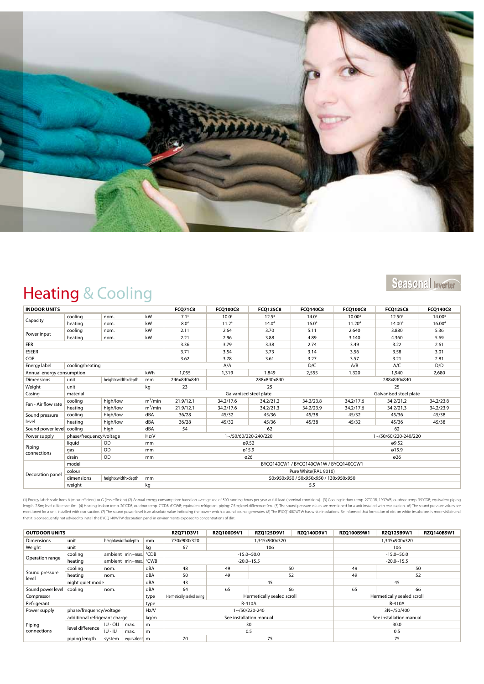

### Seasonal Inverter

### **Heating & Cooling**

| <b>INDOOR UNITS</b>       |                         |                    |            | <b>FCQ71C8</b>       | <b>FCQ100C8</b>      | <b>FCO125C8</b>        | <b>FCO140C8</b>                        | <b>FCO100C8</b>        | <b>FCQ125C8</b>      | <b>FCO140C8</b> |
|---------------------------|-------------------------|--------------------|------------|----------------------|----------------------|------------------------|----------------------------------------|------------------------|----------------------|-----------------|
|                           | cooling                 | nom.               | kW         | 7.1 <sup>3</sup>     | 10.0 <sup>3</sup>    | $12.5^3$               | 14.0 <sup>3</sup>                      | 10.00 <sup>3</sup>     | 12.50 <sup>3</sup>   | 14.003          |
| Capacity                  | heating                 | nom.               | kW         | 8.0 <sup>4</sup>     | 11.2 <sup>4</sup>    | 14.04                  | 16.04                                  | 11.204                 | 14.004               | 16.004          |
| Power input               | cooling                 | nom.               | kW         | 2.11                 | 2.64                 | 3.70                   | 5.11                                   | 2.640                  | 3.880                | 5.36            |
|                           | heating                 | nom.               | kW         | 2.21                 | 2.96                 | 3.88                   | 4.89                                   | 3.140                  | 4.360                | 5.69            |
| EER                       |                         |                    |            | 3.36                 | 3.79                 | 3.38                   | 2.74                                   | 3.49                   | 3.22                 | 2.61            |
| ESEER                     |                         |                    |            | 3.71                 | 3.54                 | 3.73                   | 3.14                                   | 3.56                   | 3.58                 | 3.01            |
| COP                       |                         |                    |            | 3.62                 | 3.78                 | 3.61                   | 3.27                                   | 3.57                   | 3.21                 | 2.81            |
| Energy label              | cooling/heating         |                    |            |                      | A/A                  |                        | D/C                                    | A/B                    | A/C                  | D/D             |
| Annual energy consumption |                         |                    | kWh        | 1.055                | 1,319                | 1.849                  | 2,555                                  | 1,320                  | 1,940                | 2,680           |
| <b>Dimensions</b>         | unit                    | heightxwidthxdepth | mm         | 246x840x840          |                      | 288x840x840            |                                        |                        | 288x840x840          |                 |
| Weight                    | kg<br>unit              |                    |            | 23                   |                      | 25                     |                                        |                        | 25                   |                 |
| Casing                    | material                |                    |            |                      |                      | Galvanised steel plate |                                        | Galvanised steel plate |                      |                 |
| Fan - Air flow rate       | cooling                 | high/low           | $m^3/m$ in | 21.9/12.1            | 34.2/17.6            | 34.2/21.2              | 34.2/23.8                              | 34.2/17.6              | 34.2/21.2            | 34.2/23.8       |
|                           | heating                 | high/low           | $m^3/m$ in | 21.9/12.1            | 34.2/17.6            | 34.2/21.3              | 34.2/23.9                              | 34.2/17.6              | 34.2/21.3            | 34.2/23.9       |
| Sound pressure            | cooling                 | high/low           | dBA        | 36/28                | 45/32                | 45/36                  | 45/38                                  | 45/32                  | 45/36                | 45/38           |
| level                     | heating                 | high/low           | dBA        | 36/28                | 45/32                | 45/36                  | 45/38                                  | 45/32                  | 45/36                | 45/38           |
| Sound power level         | cooling                 | high               | dBA        | 54                   |                      | 62                     |                                        | 62                     |                      |                 |
| Power supply              | phase/frequency/voltage |                    | Hz/V       |                      | 1~/50/60/220-240/220 |                        |                                        |                        | 1~/50/60/220-240/220 |                 |
|                           | liquid                  | <b>OD</b>          | mm         |                      |                      | 09.52                  |                                        |                        | 09.52                |                 |
| Piping<br>connections     | gas                     | <b>OD</b>          | mm         |                      |                      | ø15.9                  |                                        |                        | ø15.9                |                 |
|                           | drain                   | <b>OD</b>          | mm         |                      |                      | ø26                    |                                        |                        | ø26                  |                 |
|                           | model                   |                    |            |                      |                      |                        | BYCO140CW1 / BYCO140CW1W / BYCO140CGW1 |                        |                      |                 |
|                           | colour                  |                    |            | Pure White(RAL 9010) |                      |                        |                                        |                        |                      |                 |
| Decoration panel          | dimensions              | heightxwidthxdepth | mm         |                      |                      |                        | 50x950x950 / 50x950x950 / 130x950x950  |                        |                      |                 |
|                           | weight                  |                    | kq         |                      |                      |                        | 5.5                                    |                        |                      |                 |

(1) Energy label: scale from A (most efficient) to G (less efficient) (2) Annual energy consumption: based on average use of 500 running hours per year at full load (nominal conditions). (3) Cooling: indoor temp. 27°CDB, 1

| <b>OUTDOOR UNITS</b>      |                                       |                    |                   |      | <b>RZQ71D3V1</b>                                        | <b>RZO100D9V1</b> | RZ0125D9V1              | RZQ140D9V1    | RZQ100B9W1                 | RZQ125B9W1     | RZO140B9W1 |
|---------------------------|---------------------------------------|--------------------|-------------------|------|---------------------------------------------------------|-------------------|-------------------------|---------------|----------------------------|----------------|------------|
| <b>Dimensions</b>         | unit                                  | heightxwidthxdepth |                   | mm   | 1,345x900x320<br>770x900x320                            |                   |                         | 1,345x900x320 |                            |                |            |
| Weight                    | unit                                  |                    |                   | kg   | 67                                                      |                   | 106                     |               | 106                        |                |            |
|                           | cooling<br>ambient min.~max.          |                    |                   | °CDB |                                                         |                   | $-15.0 - 50.0$          |               |                            | $-15.0 - 50.0$ |            |
| Operation range           | heating                               |                    | ambient min.~max. | °CWB |                                                         |                   | $-20.0 - 15.5$          |               | $-20.0 - 15.5$             |                |            |
|                           | cooling                               | nom.               |                   | dBA  | 48                                                      | 49                |                         | 50            | 49                         | 50             |            |
| Sound pressure<br>level   | heating                               | nom.               |                   | dBA  | 50                                                      | 49                |                         | 52            | 49                         | 52             |            |
|                           | night quiet mode                      |                    |                   | dBA  | 43                                                      | 45                |                         |               |                            | 45             |            |
| Sound power level cooling |                                       | nom.               |                   | dBA  | 64                                                      | 65                |                         | 66            | 65                         | 66             |            |
| Compressor                |                                       |                    |                   | type | Hermetically sealed scroll<br>Hermetically sealed swing |                   |                         |               | Hermetically sealed scroll |                |            |
| Refrigerant               |                                       |                    |                   | type | R-410A                                                  |                   |                         | R-410A        |                            |                |            |
| Power supply              | phase/frequency/voltage               |                    |                   | Hz/V |                                                         |                   | 1~/50/220-240           |               |                            | 3N~/50/400     |            |
|                           | additional refrigerant charge<br>kg/m |                    |                   |      |                                                         |                   | See installation manual |               | See installation manual    |                |            |
| Piping<br>connections     | level difference                      | IU - OU            | max.              | m    |                                                         |                   | 30                      |               | 30.0                       |                |            |
|                           |                                       | $IU - IU$          | max.              | m    |                                                         | 0.5               |                         |               |                            | 0.5            |            |
|                           | piping length                         | system             | equivalent m      |      | 70                                                      |                   | 75                      |               |                            | 75             |            |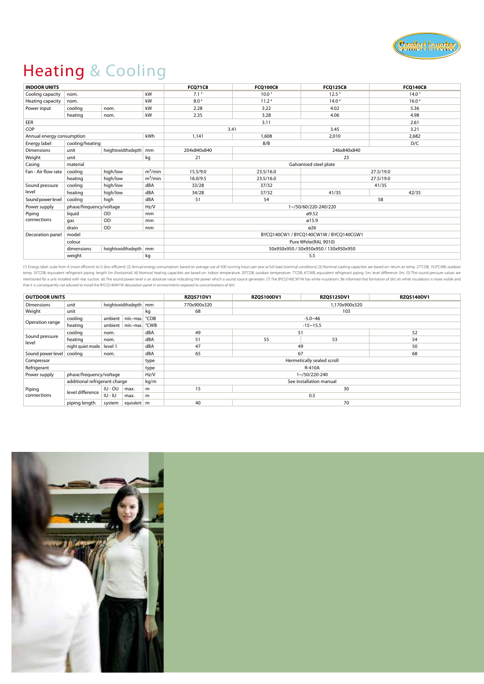

| <b>INDOOR UNITS</b>       |                         |                       |            | <b>FCO71C8</b>                         | <b>FCO100C8</b>   | <b>FCO125C8</b>                       | <b>FCO140C8</b>   |  |  |
|---------------------------|-------------------------|-----------------------|------------|----------------------------------------|-------------------|---------------------------------------|-------------------|--|--|
| Cooling capacity          | nom.                    |                       | kW         | 7.1 <sup>3</sup>                       | 10.0 <sup>3</sup> | 12.5 <sup>3</sup>                     | 14.0 <sup>3</sup> |  |  |
| Heating capacity          | nom.                    |                       | kW         | 8.0 <sup>4</sup>                       | 11.2 <sup>4</sup> | 14.0 $4$                              | 16.0 <sup>4</sup> |  |  |
| Power input               | cooling<br>nom.         |                       | kW         | 2.28                                   | 3.22              | 4.02                                  | 5.36              |  |  |
|                           | heating<br>nom.         |                       | kW         | 2.35                                   | 3.28              | 4.06                                  | 4.98              |  |  |
| EER                       |                         |                       |            |                                        | 3.11              |                                       | 2.61              |  |  |
| COP                       |                         |                       |            | 3.41                                   |                   | 3.45                                  | 3.21              |  |  |
| Annual energy consumption |                         |                       | kWh        | 1.141                                  | 1.608             | 2.010                                 | 2.682             |  |  |
| Energy label              | cooling/heating         |                       |            |                                        | B/B               |                                       | D/C               |  |  |
| Dimensions                | unit                    | heightxwidthxdepth mm |            | 204x840x840                            |                   | 246x840x840                           |                   |  |  |
| Weight                    | kg<br>unit              |                       |            | 21                                     | 23                |                                       |                   |  |  |
| Casing                    | material                |                       |            | Galvanised steel plate                 |                   |                                       |                   |  |  |
| Fan - Air flow rate       | cooling                 | high/low              | $m^3/m$ in | 15.5/9.0                               | 23.5/16.0         |                                       | 27.5/19.0         |  |  |
|                           | heating                 | high/low              | $m^3/m$ in | 16.0/9.5                               | 23.5/16.0         | 27.5/19.0                             |                   |  |  |
| Sound pressure            | cooling                 | high/low              | dBA        | 33/28                                  | 37/32             |                                       | 41/35             |  |  |
| level                     | heating                 | high/low              | dBA        | 34/28                                  | 37/32             | 41/35                                 | 42/35             |  |  |
| Sound power level         | cooling                 | high                  | dBA        | 51                                     | 54                |                                       | 58                |  |  |
| Power supply              | phase/frequency/voltage |                       | Hz/V       |                                        |                   | 1~/50/60/220-240/220                  |                   |  |  |
| Piping                    | liquid                  | <b>OD</b>             | mm         | 09.52                                  |                   |                                       |                   |  |  |
| connections               | qas                     | OD                    | mm         |                                        |                   | ø15.9                                 |                   |  |  |
|                           | drain                   | <b>OD</b>             | mm         |                                        |                   | ø26                                   |                   |  |  |
| Decoration panel          | model                   |                       |            | BYCQ140CW1 / BYCQ140CW1W / BYCQ140CGW1 |                   |                                       |                   |  |  |
|                           | colour                  |                       |            |                                        |                   | Pure White(RAL 9010)                  |                   |  |  |
|                           | dimensions              | heightxwidthxdepth mm |            |                                        |                   | 50x950x950 / 50x950x950 / 130x950x950 |                   |  |  |
|                           | weight                  |                       | kg         |                                        |                   | 5.5                                   |                   |  |  |

(1) Energy label: scale from A (most efficient) to G (less efficient) (2) Annual energy consumption: based on average use of 500 running hours per year at full load (nominal conditions) (3) Nominal cooling capacities are b

| <b>OUTDOOR UNITS</b>      |                                       |           |                            |      | <b>RZQS71DV1</b>           | <b>RZOS100DV1</b> | <b>RZOS125DV1</b>       | <b>RZOS140DV1</b> |  |  |  |
|---------------------------|---------------------------------------|-----------|----------------------------|------|----------------------------|-------------------|-------------------------|-------------------|--|--|--|
| <b>Dimensions</b>         | unit                                  |           | heightxwidthxdepth mm      |      | 770x900x320                | 1,170x900x320     |                         |                   |  |  |  |
| Weight                    | unit                                  |           |                            | kg   | 68                         | 103               |                         |                   |  |  |  |
| Operation range           | cooling<br>$ambient   min. \sim max.$ |           |                            | °CDB |                            | $-5.0 - 46$       |                         |                   |  |  |  |
|                           | heating                               |           | $ambient   min. \sim max.$ | °CWB |                            | $-15 - 15.5$      |                         |                   |  |  |  |
|                           | cooling                               | nom.      |                            | dBA  | 49                         |                   | 51                      | 52                |  |  |  |
| Sound pressure<br>level   | heating                               | nom.      |                            | dBA  | 51                         | 55                | 53                      | 54                |  |  |  |
|                           | night quiet mode                      | level 1   |                            | dBA  | 47                         |                   | 49                      | 50                |  |  |  |
| Sound power level cooling |                                       | nom.      |                            | dBA  | 65                         |                   | 67                      | 68                |  |  |  |
| Compressor                |                                       |           |                            | type | Hermetically sealed scroll |                   |                         |                   |  |  |  |
| Refrigerant               |                                       |           |                            | type | R-410A                     |                   |                         |                   |  |  |  |
| Power supply              | phase/frequency/voltage               |           |                            | Hz/V |                            |                   | 1~/50/220-240           |                   |  |  |  |
|                           | additional refrigerant charge         |           |                            | kg/m |                            |                   | See installation manual |                   |  |  |  |
| Piping<br>connections     | level difference                      | $IU - OU$ | max.                       | m    | 15                         | 30                |                         |                   |  |  |  |
|                           |                                       | $IU - IU$ | max.                       | m    |                            |                   | 0.5                     |                   |  |  |  |
|                           | piping length                         | system    | equivalent m               |      | 40                         |                   | 70                      |                   |  |  |  |

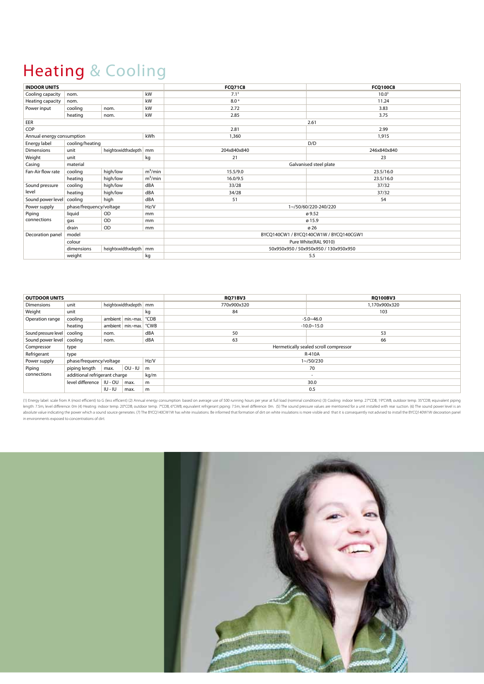| <b>INDOOR UNITS</b>       |                         |                       |            | <b>FCQ71C8</b>                         | <b>FCO100C8</b>                       |  |  |  |
|---------------------------|-------------------------|-----------------------|------------|----------------------------------------|---------------------------------------|--|--|--|
| Cooling capacity          | nom.                    |                       | kW         | 7.1 <sup>3</sup>                       | 10.0 <sup>3</sup>                     |  |  |  |
| Heating capacity          | nom.                    |                       | kW         | 8.0 <sup>4</sup>                       | 11.24                                 |  |  |  |
| Power input               | cooling<br>nom.         |                       | kW         | 2.72                                   | 3.83                                  |  |  |  |
|                           | heating                 | nom.                  | kW         | 2.85                                   | 3.75                                  |  |  |  |
| EER                       |                         |                       |            |                                        | 2.61                                  |  |  |  |
| COP                       |                         |                       |            | 2.81                                   | 2.99                                  |  |  |  |
| Annual energy consumption |                         |                       | kWh        | 1,360                                  | 1.915                                 |  |  |  |
| Energy label              | cooling/heating         |                       |            |                                        | D/D                                   |  |  |  |
| <b>Dimensions</b>         | unit                    | heightxwidthxdepth mm |            | 204x840x840                            | 246x840x840                           |  |  |  |
| Weight                    | unit                    |                       | kg         | 21                                     | 23                                    |  |  |  |
| Casing                    | material                |                       |            | Galvanised steel plate                 |                                       |  |  |  |
| Fan-Air flow rate         | cooling                 | high/low              | $m^3/m$ in | 15.5/9.0                               | 23.5/16.0                             |  |  |  |
|                           | heating                 | high/low              | $m^3/m$ in | 16.0/9.5                               | 23.5/16.0                             |  |  |  |
| Sound pressure            | cooling                 | high/low              | dBA        | 33/28                                  | 37/32                                 |  |  |  |
| level                     | heating                 | high/low              | dBA        | 34/28                                  | 37/32                                 |  |  |  |
| Sound power level         | cooling                 | high                  | dBA        | 51                                     | 54                                    |  |  |  |
| Power supply              | phase/frequency/voltage |                       | Hz/V       |                                        | 1~/50/60/220-240/220                  |  |  |  |
| Piping                    | liquid                  | OD                    | mm         |                                        | ø 9.52                                |  |  |  |
| connections               | gas                     | OD                    | mm         |                                        | ø 15.9                                |  |  |  |
|                           | drain                   | OD                    | mm         |                                        | ø 26                                  |  |  |  |
| Decoration panel          | model                   |                       |            | BYCQ140CW1 / BYCQ140CW1W / BYCQ140CGW1 |                                       |  |  |  |
|                           | colour                  |                       |            | Pure White(RAL 9010)                   |                                       |  |  |  |
|                           | dimensions              | heightxwidthxdepth mm |            |                                        | 50x950x950 / 50x950x950 / 130x950x950 |  |  |  |
|                           | weight                  |                       | kg         |                                        | 5.5                                   |  |  |  |

| <b>OUTDOOR UNITS</b>           |                         |                                                |                         |      | <b>RQ71BV3</b>                        | <b>RQ100BV3</b> |  |  |  |  |
|--------------------------------|-------------------------|------------------------------------------------|-------------------------|------|---------------------------------------|-----------------|--|--|--|--|
| Dimensions                     | unit                    |                                                | heightxwidthxdepth   mm |      | 770x900x320                           | 1,170x900x320   |  |  |  |  |
| Weight                         | unit                    |                                                |                         | kg   | 84                                    | 103             |  |  |  |  |
| Operation range                | cooling                 |                                                | ambient   min.~max.     | °CDB |                                       | $-5.0 - 46.0$   |  |  |  |  |
|                                | heating                 |                                                | ambient   min.~max.     | °CWB | $-10.0 - 15.0$                        |                 |  |  |  |  |
| Sound pressure level   cooling |                         | nom.                                           |                         | dBA  | 50                                    | 53              |  |  |  |  |
| Sound power level cooling      |                         | nom.                                           |                         |      | 63                                    | 66              |  |  |  |  |
| Compressor                     | type                    |                                                |                         |      | Hermetically sealed scroll compressor |                 |  |  |  |  |
| Refrigerant                    | type                    |                                                |                         |      | R-410A                                |                 |  |  |  |  |
| Power supply                   | phase/frequency/voltage |                                                |                         | Hz/V | $1 - 50/230$                          |                 |  |  |  |  |
| Piping                         | piping length           | max.                                           | OU - IU                 | m    |                                       | 70              |  |  |  |  |
| connections                    |                         | additional refrigerant charge<br>kg/m          |                         |      | $\overline{\phantom{a}}$              |                 |  |  |  |  |
|                                | level difference        | IU - OU<br>max.<br>m<br>$IU - IU$<br>max.<br>m |                         |      |                                       | 30.0            |  |  |  |  |
|                                |                         |                                                |                         |      | 0.5                                   |                 |  |  |  |  |

(1) Energy label: scale from A (most efficient) to G (less efficient) (2) Annual energy consumption: based on average use of 500 running hours per year at full load (nominal conditions) (3) Cooling: indoor temp. 29°CDB, 19

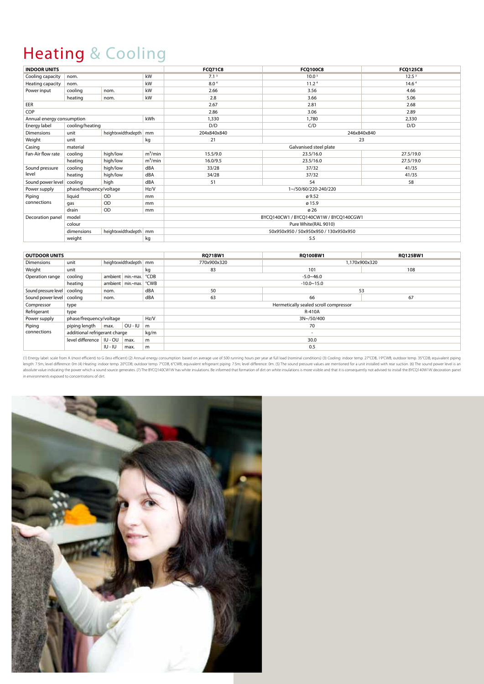| <b>INDOOR UNITS</b>       |                         |                       |            | <b>FCQ71C8</b>                         | <b>FCQ100C8</b>                       | <b>FCQ125C8</b>   |  |  |  |
|---------------------------|-------------------------|-----------------------|------------|----------------------------------------|---------------------------------------|-------------------|--|--|--|
| Cooling capacity          | nom.                    |                       | kW         | 7.1 <sup>3</sup>                       | 10.0 <sup>3</sup>                     | 12.5 <sup>3</sup> |  |  |  |
| Heating capacity          | nom.                    |                       | kW         | 8.0 <sup>4</sup>                       | 11.2 <sup>4</sup>                     | 14.6 <sup>4</sup> |  |  |  |
| Power input               | cooling<br>nom.         |                       | kW         | 2.66                                   | 3.56                                  | 4.66              |  |  |  |
|                           | heating                 | nom.                  | kW         | 2.8                                    | 3.66                                  | 5.06              |  |  |  |
| EER                       |                         |                       |            | 2.67                                   | 2.81                                  | 2.68              |  |  |  |
| COP                       |                         |                       |            | 2.86                                   | 3.06                                  | 2.89              |  |  |  |
| Annual energy consumption |                         |                       | kWh        | 1,330                                  | 1,780                                 | 2,330             |  |  |  |
| Energy label              | cooling/heating         |                       |            | D/D                                    | C/D                                   | D/D               |  |  |  |
| <b>Dimensions</b>         | unit                    | heightxwidthxdepth mm |            | 204x840x840                            |                                       | 246x840x840       |  |  |  |
| Weight                    | unit                    |                       | kg         | 21                                     |                                       | 23                |  |  |  |
| Casing                    | material                |                       |            |                                        | Galvanised steel plate                |                   |  |  |  |
| Fan-Air flow rate         | cooling                 | high/low              | $m^3/m$ in | 15.5/9.0                               | 23.5/16.0                             | 27.5/19.0         |  |  |  |
|                           | heating                 | high/low              | $m^3/m$ in | 16.0/9.5                               | 23.5/16.0                             | 27.5/19.0         |  |  |  |
| Sound pressure            | cooling                 | high/low              | dBA        | 33/28                                  | 37/32                                 | 41/35             |  |  |  |
| level                     | heating                 | high/low              | dBA        | 34/28                                  | 37/32                                 | 41/35             |  |  |  |
| Sound power level         | cooling                 | high                  | dBA        | 51                                     | 54                                    | 58                |  |  |  |
| Power supply              | phase/frequency/voltage |                       | Hz/V       |                                        | 1~/50/60/220-240/220                  |                   |  |  |  |
| Piping                    | liquid                  | <b>OD</b>             | mm         |                                        | ø 9.52                                |                   |  |  |  |
| connections               | gas                     | <b>OD</b>             | mm         |                                        | ø 15.9                                |                   |  |  |  |
|                           | drain                   | OD                    | mm         |                                        | ø 26                                  |                   |  |  |  |
| Decoration panel          | model                   |                       |            | BYCQ140CW1 / BYCQ140CW1W / BYCQ140CGW1 |                                       |                   |  |  |  |
|                           | colour                  |                       |            |                                        | Pure White(RAL 9010)                  |                   |  |  |  |
|                           | dimensions              | heightxwidthxdepth    | mm         |                                        | 50x950x950 / 50x950x950 / 130x950x950 |                   |  |  |  |
|                           | weight                  |                       | kg         |                                        | 5.5                                   |                   |  |  |  |
|                           |                         |                       |            |                                        |                                       |                   |  |  |  |

| <b>OUTDOOR UNITS</b>           |                               |           |                       |      | <b>RO71BW1</b>                        | <b>RQ100BW1</b> | <b>RQ125BW1</b> |  |  |  |
|--------------------------------|-------------------------------|-----------|-----------------------|------|---------------------------------------|-----------------|-----------------|--|--|--|
| <b>Dimensions</b>              | unit                          |           | heightxwidthxdepth mm |      | 770x900x320                           | 1.170x900x320   |                 |  |  |  |
| Weight                         | unit                          | kg        |                       |      | 83                                    | 101             | 108             |  |  |  |
| Operation range                | cooling                       |           | ambient min.~max.     | °CDB | $-5.0 - 46.0$                         |                 |                 |  |  |  |
|                                | heating                       |           | ambient min.~max.     | °CWB |                                       | $-10.0 - 15.0$  |                 |  |  |  |
| Sound pressure level   cooling |                               | nom.      |                       | dBA  | 50                                    | 53              |                 |  |  |  |
| Sound power level cooling      |                               | nom.      |                       | dBA  | 63                                    | 66              | 67              |  |  |  |
| Compressor                     | type                          |           |                       |      | Hermetically sealed scroll compressor |                 |                 |  |  |  |
| Refrigerant                    | type                          |           |                       |      | R-410A                                |                 |                 |  |  |  |
| Power supply                   | phase/frequency/voltage       |           |                       | Hz/V | 3N~/50/400                            |                 |                 |  |  |  |
| Piping                         | piping length                 | max.      | OU - IU               | m    |                                       | 70              |                 |  |  |  |
| connections                    | additional refrigerant charge |           |                       | kg/m |                                       | $\sim$          |                 |  |  |  |
|                                | level difference              | IU - OU   | max.                  | m    |                                       | 30.0            |                 |  |  |  |
|                                |                               | $IU - IU$ | max.                  | m    |                                       | 0.5             |                 |  |  |  |

(1) Energy label: scale from A (most efficient) to G (less efficient) (2) Annual energy consumption: based on average use of 500 running hours per year at full load (nominal conditions) (3) Cooling: indoor temp. 27°CDB, 19 in environments exposed to concentrations of dirt.

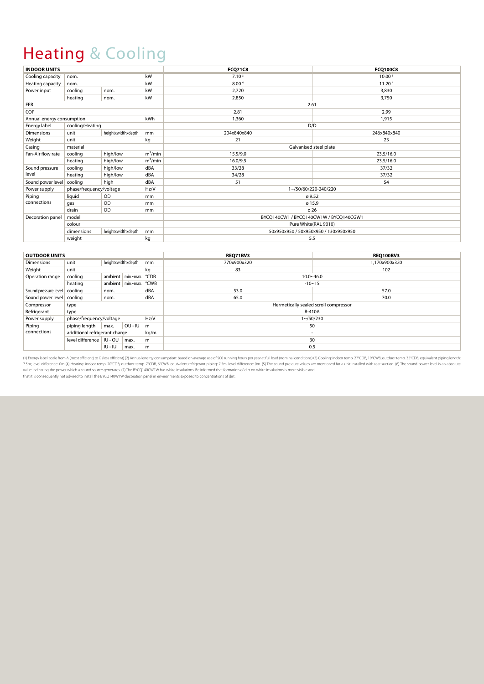| <b>INDOOR UNITS</b>       |                         |                    |            | <b>FCQ71C8</b>                         | <b>FCQ100C8</b>    |  |  |  |
|---------------------------|-------------------------|--------------------|------------|----------------------------------------|--------------------|--|--|--|
| Cooling capacity          | nom.                    |                    | kW         | 7.10 <sup>3</sup>                      | 10.00 <sup>3</sup> |  |  |  |
| Heating capacity          | nom.                    |                    | kW         | 8.00 <sup>4</sup>                      | 11.204             |  |  |  |
| Power input               | cooling                 | nom.               | kW         | 2,720                                  | 3,830              |  |  |  |
|                           | heating                 | nom.               | kW         | 2,850                                  | 3,750              |  |  |  |
| EER                       |                         |                    |            | 2.61                                   |                    |  |  |  |
| COP                       |                         |                    |            | 2.81                                   | 2.99               |  |  |  |
| Annual energy consumption |                         |                    | kWh        | 1,360                                  | 1,915              |  |  |  |
| Energy label              | cooling/Heating         |                    |            | D/D                                    |                    |  |  |  |
| <b>Dimensions</b>         | unit                    | heightxwidthxdepth | mm         | 204x840x840                            | 246x840x840        |  |  |  |
| Weight                    | unit                    |                    | kg         | 21                                     | 23                 |  |  |  |
| Casing                    | material                |                    |            | Galvanised steel plate                 |                    |  |  |  |
| Fan-Air flow rate         | cooling                 | high/low           | $m^3/m$ in | 15.5/9.0                               | 23.5/16.0          |  |  |  |
|                           | heating                 | high/low           | $m^3/m$ in | 16.0/9.5                               | 23.5/16.0          |  |  |  |
| Sound pressure            | cooling                 | high/low           | dBA        | 33/28                                  | 37/32              |  |  |  |
| level                     | heating                 | high/low           | dBA        | 34/28                                  | 37/32              |  |  |  |
| Sound power level         | cooling                 | high               | dBA        | 51                                     | 54                 |  |  |  |
| Power supply              | phase/frequency/voltage |                    | Hz/V       | 1~/50/60/220-240/220                   |                    |  |  |  |
| Piping                    | liquid                  | OD                 | mm         | ø 9.52                                 |                    |  |  |  |
| connections               | gas                     | OD                 | mm         | ø 15.9                                 |                    |  |  |  |
|                           | drain                   | <b>OD</b>          | mm         | ø 26                                   |                    |  |  |  |
| Decoration panel          | model                   |                    |            | BYCQ140CW1 / BYCQ140CW1W / BYCQ140CGW1 |                    |  |  |  |
|                           | colour                  |                    |            | Pure White(RAL 9010)                   |                    |  |  |  |
|                           | dimensions              | heightxwidthxdepth | mm         | 50x950x950 / 50x950x950 / 130x950x950  |                    |  |  |  |
|                           | kg<br>weight            |                    |            | 5.5                                    |                    |  |  |  |
|                           |                         |                    |            |                                        |                    |  |  |  |

| <b>OUTDOOR UNITS</b>           |                                       |                                    |                            |      | <b>REQ71BV3</b><br><b>REO100BV3</b>   |               |  |  |  |
|--------------------------------|---------------------------------------|------------------------------------|----------------------------|------|---------------------------------------|---------------|--|--|--|
| <b>Dimensions</b>              | unit                                  | heightxwidthxdepth                 |                            | mm   | 770x900x320                           | 1,170x900x320 |  |  |  |
| Weight                         | unit                                  |                                    |                            | kg   | 83                                    | 102           |  |  |  |
| Operation range                | cooling                               | $ambient   min. \sim max.$<br>°CDB |                            |      | $10.0 - 46.0$                         |               |  |  |  |
|                                | heating                               |                                    | $ambient   min. \sim max.$ | °CWB | $-10 - 15$                            |               |  |  |  |
| Sound pressure level   cooling |                                       | nom.                               |                            | dBA  | 53.0                                  | 57.0          |  |  |  |
| Sound power level cooling      |                                       | nom.                               |                            | dBA  | 65.0                                  | 70.0          |  |  |  |
| Compressor                     | type                                  |                                    |                            |      | Hermetically sealed scroll compressor |               |  |  |  |
| Refrigerant                    | type                                  |                                    |                            |      | R-410A                                |               |  |  |  |
| Power supply                   | phase/frequency/voltage               |                                    |                            | Hz/V | $1 - 50/230$                          |               |  |  |  |
| Piping                         | piping length                         | max.                               | OU - IU                    | m    | 50                                    |               |  |  |  |
| connections                    | additional refrigerant charge<br>kg/m |                                    |                            |      | $\sim$                                |               |  |  |  |
|                                | level difference   IU - OU            |                                    | max.<br>m                  |      | 30                                    |               |  |  |  |
|                                |                                       | $IU - IU$                          | max.                       | m    | 0.5                                   |               |  |  |  |

(1) Energy label: scale from A (most efficient) to G (less efficient) (2) Annual energy consumption: based on average use of 500 running hours per year at full load (nominal conditions) (3) Cooling: indoor temp. 27°CDB, 19 that it is consequently not advised to install the BYCQ140W1W decoration panel in environments exposed to concentrations of dirt.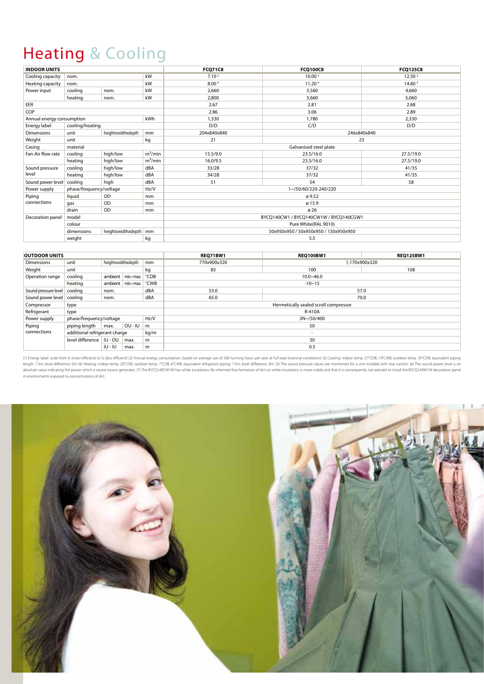| <b>INDOOR UNITS</b>       |                         |                       |            | <b>FCQ71C8</b>                         | <b>FCQ100C8</b>                       | <b>FCQ125C8</b>    |  |  |  |
|---------------------------|-------------------------|-----------------------|------------|----------------------------------------|---------------------------------------|--------------------|--|--|--|
| Cooling capacity          | nom.                    |                       | kW         | 7.10 <sup>3</sup>                      | 10.00 <sup>3</sup>                    | 12.50 <sup>3</sup> |  |  |  |
| Heating capacity          | nom.                    |                       | kW         | 8.00 <sup>4</sup>                      | 11.204                                | 14.604             |  |  |  |
| Power input               | cooling                 | nom.                  | kW         | 2,660                                  | 3,560                                 | 4,660              |  |  |  |
|                           | heating                 | nom.                  | kW         | 2,800                                  | 3,660                                 | 5,060              |  |  |  |
| EER                       |                         |                       |            | 2.67                                   | 2.81                                  | 2.68               |  |  |  |
| COP                       |                         |                       |            | 2.86                                   | 3.06                                  | 2.89               |  |  |  |
| Annual energy consumption |                         |                       | kWh        | 1.330                                  | 1.780                                 | 2,330              |  |  |  |
| Energy label              | cooling/heating         |                       |            | D/D                                    | C/D                                   | D/D                |  |  |  |
| <b>Dimensions</b>         | unit                    | heightxwidthxdepth    | mm         | 204x840x840                            | 246x840x840                           |                    |  |  |  |
| Weight                    | kg<br>unit              |                       |            | 21                                     | 23                                    |                    |  |  |  |
| Casing                    | material                |                       |            | Galvanised steel plate                 |                                       |                    |  |  |  |
| Fan-Air flow rate         | cooling                 | high/low              | $m^3/m$ in | 15.5/9.0                               | 23.5/16.0                             | 27.5/19.0          |  |  |  |
|                           | heating                 | high/low              | $m^3/m$ in | 16.0/9.5                               | 23.5/16.0                             | 27.5/19.0          |  |  |  |
| Sound pressure            | cooling                 | high/low              | dBA        | 33/28                                  | 37/32                                 | 41/35              |  |  |  |
| level                     | heating                 | high/low              | dBA        | 34/28                                  | 37/32                                 | 41/35              |  |  |  |
| Sound power level         | cooling                 | high                  | dBA        | 51                                     | 54                                    | 58                 |  |  |  |
| Power supply              | phase/frequency/voltage |                       | Hz/V       |                                        | 1~/50/60/220-240/220                  |                    |  |  |  |
| Piping                    | liquid                  | <b>OD</b>             | mm         | ø 9.52                                 |                                       |                    |  |  |  |
| connections               | qas                     | OD                    | mm         |                                        | ø 15.9                                |                    |  |  |  |
|                           | drain                   | OD                    |            | ø 26                                   |                                       |                    |  |  |  |
| Decoration panel          | model                   |                       |            | BYCQ140CW1 / BYCQ140CW1W / BYCQ140CGW1 |                                       |                    |  |  |  |
| colour                    |                         |                       |            | Pure White(RAL 9010)                   |                                       |                    |  |  |  |
|                           | dimensions              | heightxwidthxdepth mm |            |                                        | 50x950x950 / 50x950x950 / 130x950x950 |                    |  |  |  |
|                           | weight                  |                       | kg         | 5.5                                    |                                       |                    |  |  |  |

| <b>OUTDOOR UNITS</b>           |                                     |                    |                   |        | <b>REO71BW1</b>                       | <b>REQ100BW1</b> | <b>REQ125BW1</b> |  |
|--------------------------------|-------------------------------------|--------------------|-------------------|--------|---------------------------------------|------------------|------------------|--|
| <b>Dimensions</b>              | unit                                | heightxwidthxdepth |                   | mm     | 770x900x320                           | 1.170x900x320    |                  |  |
| Weight                         | unit                                |                    |                   | kg     | 83                                    | 100              | 108              |  |
| Operation range                | cooling                             |                    | ambient min.~max. | °CDB   | $10.0 - 46.0$                         |                  |                  |  |
|                                | heating                             |                    | ambient min.~max. | °CWB   | $-10 - 15$                            |                  |                  |  |
| Sound pressure level   cooling | dBA<br>nom.                         |                    |                   |        | 53.0                                  | 57.0             |                  |  |
| Sound power level cooling      |                                     | dBA<br>nom.        |                   |        | 65.0                                  | 70.0             |                  |  |
| Compressor                     | type                                |                    |                   |        | Hermetically sealed scroll compressor |                  |                  |  |
| Refrigerant                    | type                                |                    |                   |        | R-410A                                |                  |                  |  |
| Power supply                   | phase/frequency/voltage             |                    |                   | Hz/V   | 3N~/50/400                            |                  |                  |  |
| Piping                         | piping length                       | max.               | OU - IU           | m      |                                       | 50               |                  |  |
| connections                    | additional refrigerant charge       |                    | kg/m              | $\sim$ |                                       |                  |                  |  |
|                                | level difference<br>IU - OU<br>max. |                    | m                 | 30     |                                       |                  |                  |  |
|                                |                                     | $IU - IU$          | max.              | m      |                                       | 0.5              |                  |  |

(1) Energy label: scale from A (most efficient) to G (less efficient) (2) Annual energy consumption: based on average use of 500 running hours per year at full load (nominal conditions) (3) Cooling: indoor temp. 27°CDB, 19 in environments exposed to concentrations of dirt.

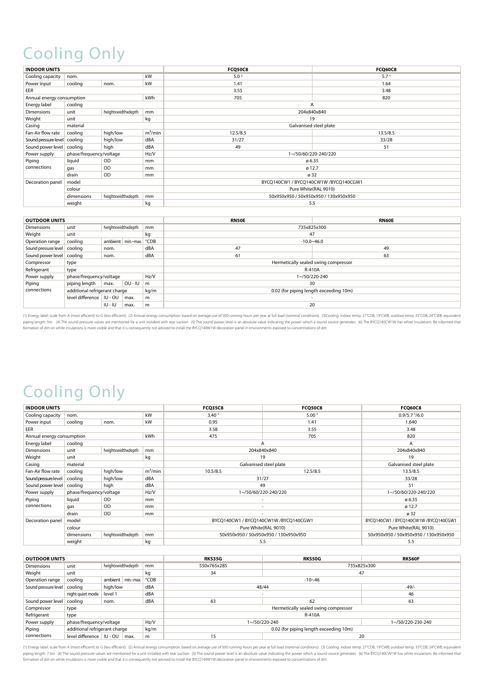# Cooling Only

| <b>INDOOR UNITS</b>          |                                                        |                    |            | <b>FCO50C8</b>                        | <b>FCQ60C8</b>   |  |  |
|------------------------------|--------------------------------------------------------|--------------------|------------|---------------------------------------|------------------|--|--|
| Cooling capacity             | nom.                                                   |                    | kW         | 5.0 <sup>3</sup>                      | 5.7 <sup>3</sup> |  |  |
| Power input                  | cooling                                                | nom.               | kW         | 1.41                                  | 1.64             |  |  |
| EER                          |                                                        |                    |            | 3.55                                  | 3.48             |  |  |
| Annual energy consumption    |                                                        |                    | kWh        | 705                                   | 820              |  |  |
| Energy label                 | cooling                                                |                    |            | A                                     |                  |  |  |
| Dimensions                   | unit                                                   | heightxwidthxdepth | mm         | 204x840x840                           |                  |  |  |
| Weight                       | unit<br>kg                                             |                    |            |                                       | 19               |  |  |
| Casing                       | material                                               |                    |            | Galvanised steel plate                |                  |  |  |
| Fan-Air flow rate            | cooling                                                | high/low           | $m^3/m$ in | 12.5/8.5                              | 13.5/8.5         |  |  |
| Sound pressure level cooling |                                                        | high/low           | dBA        | 31/27                                 | 33/28            |  |  |
| Sound power level            | cooling                                                | high               | dBA        | 49                                    | 51               |  |  |
| Power supply                 | phase/frequency/voltage                                |                    | Hz/V       | 1~/50/60/220-240/220                  |                  |  |  |
| Piping                       | liquid                                                 | <b>OD</b>          | mm         | ø 6.35                                |                  |  |  |
| connections                  | gas                                                    | <b>OD</b>          | mm         | 0.12.7                                |                  |  |  |
|                              | drain                                                  | <b>OD</b>          | mm         | ø 32                                  |                  |  |  |
| Decoration panel             | model                                                  |                    |            | BYCQ140CW1 / BYCQ140CW1W /BYCQ140CGW1 |                  |  |  |
|                              | colour                                                 |                    |            | Pure White(RAL 9010)                  |                  |  |  |
|                              | heightxwidthxdepth<br>dimensions<br>mm<br>weight<br>kg |                    |            | 50x950x950 / 50x950x950 / 130x950x950 |                  |  |  |
|                              |                                                        |                    |            | 5.5                                   |                  |  |  |

| <b>OUTDOOR UNITS</b>           |                                       |                    |                     |      | <b>RN50E</b>                           | <b>RN60E</b> |  |
|--------------------------------|---------------------------------------|--------------------|---------------------|------|----------------------------------------|--------------|--|
| <b>Dimensions</b>              | unit                                  | heightxwidthxdepth |                     | mm   | 735x825x300                            |              |  |
| Weight                         | unit                                  |                    |                     | kg   | 47                                     |              |  |
| Operation range                | cooling                               |                    | ambient   min.~max. | °CDB | $-10.0 - 46.0$                         |              |  |
| Sound pressure level   cooling |                                       | nom.               |                     | dBA  | 47                                     | 49           |  |
| Sound power level cooling      |                                       | nom.               |                     | dBA  | 61                                     | 63           |  |
| Compressor                     | type                                  |                    |                     |      | Hermetically sealed swing compressor   |              |  |
| Refrigerant                    | type                                  |                    |                     |      | R-410A                                 |              |  |
| Power supply                   | phase/frequency/voltage               |                    |                     | Hz/V | 1~/50/220-240                          |              |  |
| Piping                         | piping length                         | max.               | OU - IU             | m    |                                        | 30           |  |
| connections                    | additional refrigerant charge<br>kg/m |                    |                     |      | 0.02 (for piping length exceeding 10m) |              |  |
|                                | level difference                      | IU - OU            | max.<br>m           |      |                                        |              |  |
|                                |                                       | $IU - IU$          | max.                | m    |                                        | 20           |  |

(1) Energy label: scale from A (most efficient) to G (less efficient). (2) Annual energy consumption: based on average use of 500 running hours per year at full load (nominal conditions). (3)Cooling: indoor temp. 27°CDB, 1 formation of dirt on white insulations is more visible and that it is consequently not advised to install the BYCQ140W1W decoration panel in environments exposed to concentrations of dirt.

### Cooling Only

| <b>INDOOR UNITS</b>       |                         |                    |            | <b>FCQ35C8</b>                        | <b>FCQ50C8</b>                        | <b>FCQ60C8</b>                        |
|---------------------------|-------------------------|--------------------|------------|---------------------------------------|---------------------------------------|---------------------------------------|
| Cooling capacity          | nom.                    |                    | kW         | 3.40 <sup>3</sup>                     | 5.00 <sup>3</sup>                     | 0.9/5.7 <sup>3</sup> /6.0             |
| Power input               | cooling                 | nom.               | kW         | 0.95                                  | 1.41                                  | 1.640                                 |
| EER                       |                         |                    |            | 3.58                                  | 3.55                                  | 3.48                                  |
| Annual energy consumption |                         |                    | kWh        | 475                                   | 705                                   | 820                                   |
| Energy label              | cooling                 |                    |            | A                                     |                                       | A                                     |
| Dimensions                | unit                    | heightxwidthxdepth | mm         | 204x840x840                           |                                       | 204x840x840                           |
| Weight                    | unit                    |                    | kg         | 19                                    |                                       | 19                                    |
| Casing                    | material                |                    |            | Galvanised steel plate                |                                       | Galvanised steel plate                |
| Fan-Air flow rate         | cooling                 | high/low           | $m^3/m$ in | 10.5/8.5                              | 12.5/8.5                              | 13.5/8.5                              |
| Sound pressure level      | cooling                 | high/low           | dBA        | 31/27                                 |                                       | 33/28                                 |
| Sound power level         | cooling                 | high               | dBA        | 49                                    |                                       | 51                                    |
| Power supply              | phase/frequency/voltage |                    | Hz/V       | 1~/50/60/220-240/220                  |                                       | 1~/50/60/220-240/220                  |
| Piping                    | liquid                  | <b>OD</b>          | mm         |                                       |                                       | ø 6.35                                |
| connections               | qas                     | OD                 | mm         | $\overline{\phantom{a}}$              |                                       | ø 12.7                                |
|                           | drain                   | OD                 | mm         | $\overline{\phantom{a}}$              |                                       | ø 32                                  |
| Decoration panel          | model                   |                    |            | BYCQ140CW1 / BYCQ140CW1W /BYCQ140CGW1 |                                       | BYCQ140CW1 / BYCQ140CW1W /BYCQ140CGW1 |
|                           | colour                  |                    |            | Pure White(RAL 9010)                  |                                       | Pure White(RAL 9010)                  |
|                           | dimensions              | heightxwidthxdepth | mm         |                                       | 50x950x950 / 50x950x950 / 130x950x950 | 50x950x950 / 50x950x950 / 130x950x950 |
|                           | weight                  |                    | kg         | 5.5                                   |                                       | 5.5                                   |

| <b>OUTDOOR UNITS</b>           |                                       |                          |                   |      | <b>RKS35G</b>                          | <b>RKS50G</b> | <b>RKS60F</b> |  |  |
|--------------------------------|---------------------------------------|--------------------------|-------------------|------|----------------------------------------|---------------|---------------|--|--|
| <b>Dimensions</b>              | unit                                  | heightxwidthxdepth<br>mm |                   |      | 550x765x285                            | 735x825x300   |               |  |  |
| Weight                         | unit                                  |                          |                   | kg   | 34                                     | 47            |               |  |  |
| Operation range                | cooling                               |                          | ambient min.~max. | °CDB | $-10 - 46$                             |               |               |  |  |
| Sound pressure level   cooling |                                       | high/low                 |                   | dBA  | 48/44                                  |               | 49/           |  |  |
|                                | night quiet mode                      | level 1                  |                   | dBA  | $\overline{\phantom{0}}$               |               | 46            |  |  |
| Sound power level              | cooling                               | nom.                     |                   | dBA  | 63                                     | 62            | 63            |  |  |
| Compressor                     | type                                  |                          |                   |      | Hermetically sealed swing compressor   |               |               |  |  |
| Refrigerant                    | type                                  |                          |                   |      | R-410A                                 |               |               |  |  |
| Power supply                   | phase/frequency/voltage<br>Hz/V       |                          |                   |      | 1~/50/220-230-240<br>1~/50/220-240     |               |               |  |  |
| Piping                         | additional refrigerant charge<br>kg/m |                          |                   |      | 0.02 (for piping length exceeding 10m) |               |               |  |  |
| connections                    | level difference                      | $IU - OU$                | max.              | m    | 15                                     |               | 20            |  |  |

(1) Energy label: scale from A (most efficient) to G (less efficient). (2) Annual energy consumption: based on average use of 500 running hours per year at full load (nominal conditions). (3) Cooling: indoor temp. 27°CDB, piping length: 7.5m. (4) The sound pressure values are mentioned for a unit installed with rear suction. (5) The sound power level is an absolute value indicating the power which a sound source generates. (6) The BYCQ140CW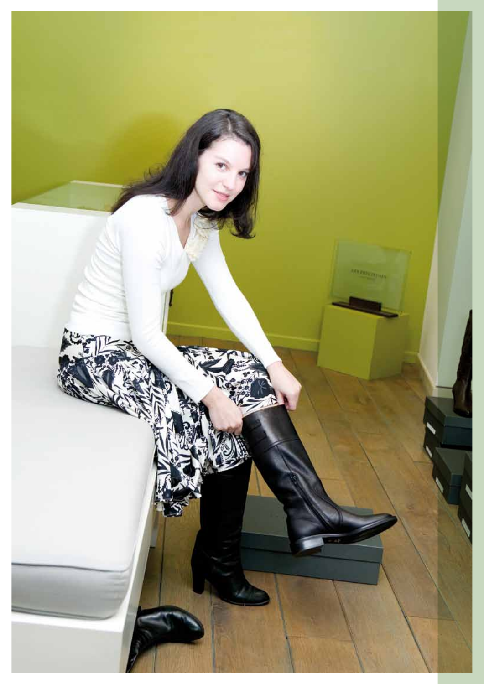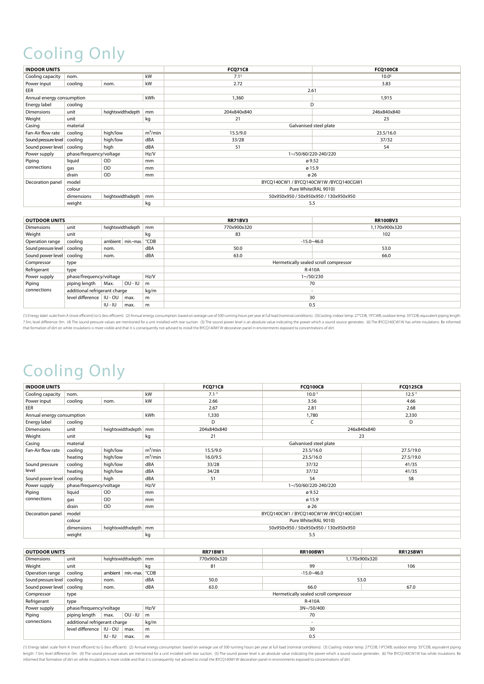# Cooling Only

| <b>INDOOR UNITS</b>          |                                        |                    |            | <b>FCQ71C8</b>                        | <b>FCQ100C8</b>   |  |  |
|------------------------------|----------------------------------------|--------------------|------------|---------------------------------------|-------------------|--|--|
| Cooling capacity             | nom.                                   |                    | kW         | 7.1 <sup>3</sup>                      | 10.0 <sup>3</sup> |  |  |
| Power input                  | cooling                                | nom.               | kW         | 2.72                                  | 3.83              |  |  |
| EER                          |                                        |                    |            | 2.61                                  |                   |  |  |
| Annual energy consumption    |                                        |                    | kWh        | 1,360                                 | 1,915             |  |  |
| Energy label                 | cooling                                |                    |            | D                                     |                   |  |  |
| Dimensions                   | unit                                   | heightxwidthxdepth | mm         | 204x840x840                           | 246x840x840       |  |  |
| Weight                       | unit                                   |                    | kg         | 21                                    | 23                |  |  |
| Casing                       | material                               |                    |            | Galvanised steel plate                |                   |  |  |
| Fan-Air flow rate            | cooling                                | high/low           | $m^3/m$ in | 15.5/9.0                              | 23.5/16.0         |  |  |
| Sound pressure level cooling |                                        | high/low           | dBA        | 33/28                                 | 37/32             |  |  |
| Sound power level            | cooling                                | high               | dBA        | 51                                    | 54                |  |  |
| Power supply                 | phase/frequency/voltage                |                    | Hz/V       | 1~/50/60/220-240/220                  |                   |  |  |
| Piping                       | liquid                                 | <b>OD</b>          | mm         | Ø9.52                                 |                   |  |  |
| connections                  | gas                                    | <b>OD</b>          | mm         | ø 15.9                                |                   |  |  |
|                              | drain                                  | <b>OD</b>          | mm         | ø 26                                  |                   |  |  |
| Decoration panel             | model                                  |                    |            | BYCQ140CW1 / BYCQ140CW1W /BYCQ140CGW1 |                   |  |  |
| colour                       |                                        |                    |            | Pure White(RAL 9010)                  |                   |  |  |
|                              | heightxwidthxdepth<br>dimensions<br>mm |                    |            | 50x950x950 / 50x950x950 / 130x950x950 |                   |  |  |
|                              | weight<br>kg                           |                    |            | 5.5                                   |                   |  |  |

| <b>OUTDOOR UNITS</b>           |                               |           |                    |      | <b>RR71BV3</b>                        | <b>RR100BV3</b> |  |
|--------------------------------|-------------------------------|-----------|--------------------|------|---------------------------------------|-----------------|--|
| <b>Dimensions</b>              | unit                          |           | heightxwidthxdepth | mm   | 770x900x320                           | 1.170x900x320   |  |
| Weight                         | unit                          |           |                    | kg   | 83                                    | 102             |  |
| Operation range                | cooling                       |           | ambient min.~max.  | °CDB | $-15.0 - 46.0$                        |                 |  |
| Sound pressure level   cooling |                               | nom.      |                    | dBA  | 50.0                                  | 53.0            |  |
| Sound power level cooling      |                               | nom.      |                    | dBA  | 63.0                                  | 66.0            |  |
| Compressor                     | type                          |           |                    |      | Hermetically sealed scroll compressor |                 |  |
| Refrigerant                    | type                          |           |                    |      | R-410A                                |                 |  |
| Power supply                   | phase/frequency/voltage       |           |                    | Hz/V | $1 - 50/230$                          |                 |  |
| Piping                         | piping length                 | Max.      | OU - IU            | m    |                                       | 70              |  |
| connections                    | additional refrigerant charge |           |                    | kg/m | $\overline{\phantom{a}}$              |                 |  |
|                                | level difference              | IU - OU   | max.               | m    | 30                                    |                 |  |
|                                |                               | $IU - IU$ | max.               | m    | 0.5                                   |                 |  |

(1) Energy label: scale from A (most efficient): to G (less efficient). (2) Annual energy consumption: based on average use of 500 running hours per year at full load (nominal conditions). (3)Cooling: indoor temp. 27°CDB,

# Cooling Only

| <b>INDOOR UNITS</b>       |                                     |                         |            | <b>FCQ71C8</b>                        | <b>FCQ100C8</b>                       | <b>FCQ125C8</b>   |  |  |
|---------------------------|-------------------------------------|-------------------------|------------|---------------------------------------|---------------------------------------|-------------------|--|--|
| Cooling capacity          | nom.                                |                         | kW         | 7.1 <sup>3</sup>                      | 10.0 <sup>3</sup>                     | 12.5 <sup>3</sup> |  |  |
| Power input               | cooling                             | nom.                    | kW         | 2.66                                  | 3.56                                  | 4.66              |  |  |
| EER                       |                                     |                         |            | 2.67                                  | 2.81                                  | 2.68              |  |  |
| Annual energy consumption |                                     |                         | kWh        | 1,330                                 | 1,780                                 | 2,330             |  |  |
| Energy label              | cooling                             |                         |            | D                                     | C                                     | D                 |  |  |
| <b>Dimensions</b>         | unit                                | heightxwidthxdepth   mm |            | 204x840x840                           | 246x840x840                           |                   |  |  |
| Weight                    | unit                                |                         | kg         | 21                                    | 23                                    |                   |  |  |
| Casing                    | material                            |                         |            |                                       | Galvanised steel plate                |                   |  |  |
| Fan-Air flow rate         | cooling                             | high/low                | $m^3/m$ in | 15.5/9.0                              | 23.5/16.0                             | 27.5/19.0         |  |  |
|                           | heating                             | high/low                | $m^3/m$ in | 16.0/9.5                              | 23.5/16.0                             | 27.5/19.0         |  |  |
| Sound pressure            | cooling                             | high/low                | dBA        | 33/28                                 | 37/32                                 | 41/35             |  |  |
| level                     | heating                             | high/low                | dBA        | 34/28                                 | 37/32                                 | 41/35             |  |  |
| Sound power level         | cooling                             | high                    | dBA        | 51                                    | 54                                    | 58                |  |  |
| Power supply              | phase/frequency/voltage             |                         | Hz/V       | 1~/50/60/220-240/220                  |                                       |                   |  |  |
| Piping                    | liquid                              | <b>OD</b>               | mm         |                                       | ø 9.52                                |                   |  |  |
| connections               | gas                                 | <b>OD</b>               | mm         |                                       | ø 15.9                                |                   |  |  |
|                           | drain                               | <b>OD</b><br>mm         |            | ø 26                                  |                                       |                   |  |  |
| Decoration panel          | model                               |                         |            | BYCQ140CW1 / BYCQ140CW1W /BYCQ140CGW1 |                                       |                   |  |  |
|                           | colour                              |                         |            | Pure White(RAL 9010)                  |                                       |                   |  |  |
|                           | heightxwidthxdepth mm<br>dimensions |                         |            |                                       | 50x950x950 / 50x950x950 / 130x950x950 |                   |  |  |
|                           | weight<br>kg                        |                         |            |                                       | 5.5                                   |                   |  |  |

| <b>OUTDOOR UNITS</b>         |                                       |                    |                         |      | <b>RR71BW1</b>                        | <b>RR100BW1</b> | <b>RR125BW1</b> |  |  |
|------------------------------|---------------------------------------|--------------------|-------------------------|------|---------------------------------------|-----------------|-----------------|--|--|
| <b>Dimensions</b>            | unit                                  |                    | heightxwidthxdepth mm   |      | 770x900x320                           | 1,170x900x320   |                 |  |  |
| Weight                       | unit                                  |                    |                         | kg   | 81                                    | 99              | 106             |  |  |
| Operation range              | cooling                               |                    | ambient   min.~max. CDB |      | $-15.0 - 46.0$                        |                 |                 |  |  |
| Sound pressure level cooling |                                       | dBA<br>nom.        |                         |      | 50.0                                  | 53.0            |                 |  |  |
| Sound power level cooling    |                                       | nom.               |                         | dBA  | 63.0                                  | 66.0            | 67.0            |  |  |
| Compressor                   | type                                  |                    |                         |      | Hermetically sealed scroll compressor |                 |                 |  |  |
| Refrigerant                  | type                                  |                    |                         |      | R-410A                                |                 |                 |  |  |
| Power supply                 | phase/frequency/voltage               |                    |                         | Hz/V | 3N~/50/400                            |                 |                 |  |  |
| Piping                       | piping length                         | max.               | OU - IU                 | m    |                                       | 70              |                 |  |  |
| connections                  | additional refrigerant charge<br>kg/m |                    |                         |      | $\sim$                                |                 |                 |  |  |
|                              | level difference                      | IU-OU<br>max.<br>m |                         |      | 30                                    |                 |                 |  |  |
|                              |                                       | IU - IU            | max.                    | m    |                                       | 0.5             |                 |  |  |

(1) Energy label: scale from A (most efficient) to G (less efficient). (2) Annual energy consumption: based on average use of 500 running hours per year at full load (nominal conditions). (3) Cooling: indoor temp. 27°CDB, length: 7.5m; level difference: 0m. (4) The sound pressure values are mentioned for a unit installed with rear suction. (5) The sound power level is an absolute value indicating the power which a sound source generates. (6